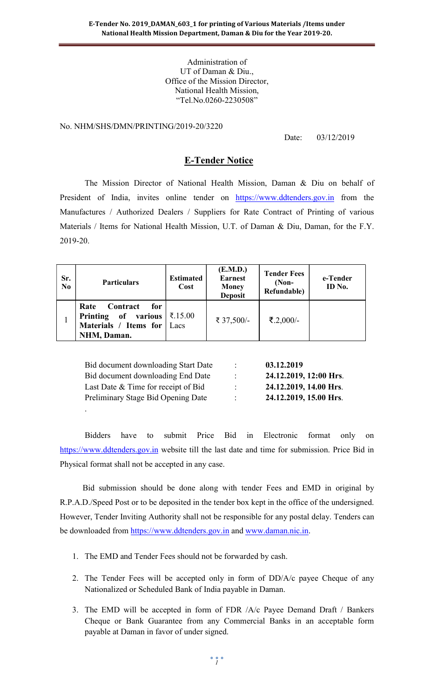Administration of UT of Daman & Diu., Office of the Mission Director, National Health Mission, "Tel.No.0260-2230508"

No. NHM/SHS/DMN/PRINTING/2019-20/3220

.

Date: 03/12/2019

### E-Tender Notice

The Mission Director of National Health Mission, Daman & Diu on behalf of President of India, invites online tender on https://www.ddtenders.gov.in from the Manufactures / Authorized Dealers / Suppliers for Rate Contract of Printing of various Materials / Items for National Health Mission, U.T. of Daman & Diu, Daman, for the F.Y. 2019-20.

| Sr.<br>No | <b>Particulars</b>                                                                                                            | <b>Estimated</b><br>Cost | (E.M.D.)<br><b>Earnest</b><br><b>Money</b><br><b>Deposit</b> | <b>Tender Fees</b><br>$(Non-$<br>Refundable) | e-Tender<br>ID No. |
|-----------|-------------------------------------------------------------------------------------------------------------------------------|--------------------------|--------------------------------------------------------------|----------------------------------------------|--------------------|
|           | for<br>Contract<br>Rate<br>Printing of various $\vert \bar{\xi} . 15.00 \vert$<br>Materials / Items for   Lacs<br>NHM, Daman. |                          | ₹ 37,500/-                                                   | ₹.2,000/-                                    |                    |

| Bid document downloading Start Date | ÷                    | 03.12.2019             |
|-------------------------------------|----------------------|------------------------|
| Bid document downloading End Date   | $\ddot{\phantom{0}}$ | 24.12.2019, 12:00 Hrs. |
| Last Date & Time for receipt of Bid | $\sim$               | 24.12.2019, 14.00 Hrs. |
| Preliminary Stage Bid Opening Date  | $\bullet$            | 24.12.2019, 15.00 Hrs. |

Bidders have to submit Price Bid in Electronic format only on https://www.ddtenders.gov.in website till the last date and time for submission. Price Bid in Physical format shall not be accepted in any case.

 Bid submission should be done along with tender Fees and EMD in original by R.P.A.D./Speed Post or to be deposited in the tender box kept in the office of the undersigned. However, Tender Inviting Authority shall not be responsible for any postal delay. Tenders can be downloaded from https://www.ddtenders.gov.in and www.daman.nic.in.

- 1. The EMD and Tender Fees should not be forwarded by cash.
- 2. The Tender Fees will be accepted only in form of DD/A/c payee Cheque of any Nationalized or Scheduled Bank of India payable in Daman.
- 3. The EMD will be accepted in form of FDR /A/c Payee Demand Draft / Bankers Cheque or Bank Guarantee from any Commercial Banks in an acceptable form payable at Daman in favor of under signed.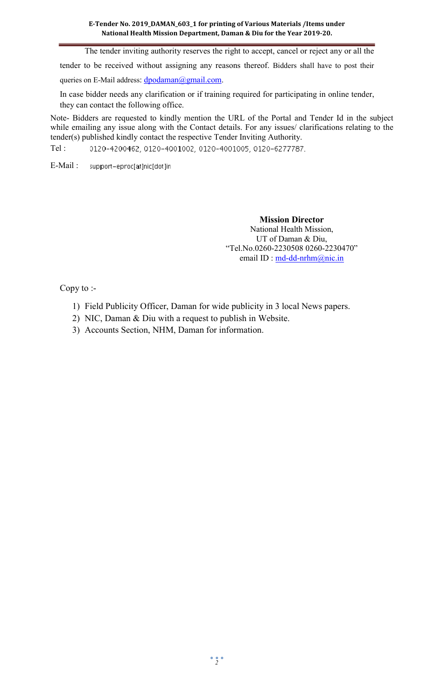The tender inviting authority reserves the right to accept, cancel or reject any or all the

tender to be received without assigning any reasons thereof. Bidders shall have to post their queries on E-Mail address: dpodaman@gmail.com.

In case bidder needs any clarification or if training required for participating in online tender,

they can contact the following office.

Note- Bidders are requested to kindly mention the URL of the Portal and Tender Id in the subject while emailing any issue along with the Contact details. For any issues/ clarifications relating to the tender(s) published kindly contact the respective Tender Inviting Authority.

Tel : 0120-4200462, 0120-4001002, 0120-4001005, 0120-6277787.

E-Mail : support-eproc[at]nic[dot]in

> Mission Director National Health Mission, UT of Daman & Diu, "Tel.No.0260-2230508 0260-2230470" email ID : md-dd-nrhm@nic.in

Copy to :-

- 1) Field Publicity Officer, Daman for wide publicity in 3 local News papers.
- 2) NIC, Daman & Diu with a request to publish in Website.
- 3) Accounts Section, NHM, Daman for information.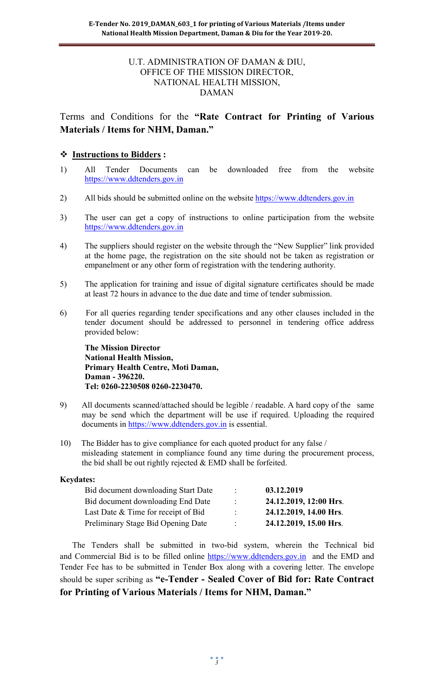#### U.T. ADMINISTRATION OF DAMAN & DIU, OFFICE OF THE MISSION DIRECTOR, NATIONAL HEALTH MISSION, DAMAN

Terms and Conditions for the "Rate Contract for Printing of Various Materials / Items for NHM, Daman."

### Instructions to Bidders :

- 1) All Tender Documents can be downloaded free from the website https://www.ddtenders.gov.in
- 2) All bids should be submitted online on the website https://www.ddtenders.gov.in
- 3) The user can get a copy of instructions to online participation from the website https://www.ddtenders.gov.in
- 4) The suppliers should register on the website through the "New Supplier" link provided at the home page, the registration on the site should not be taken as registration or empanelment or any other form of registration with the tendering authority.
- 5) The application for training and issue of digital signature certificates should be made at least 72 hours in advance to the due date and time of tender submission.
- 6) For all queries regarding tender specifications and any other clauses included in the tender document should be addressed to personnel in tendering office address provided below:

The Mission Director National Health Mission, Primary Health Centre, Moti Daman, Daman - 396220. Tel: 0260-2230508 0260-2230470.

- 9) All documents scanned/attached should be legible / readable. A hard copy of the same may be send which the department will be use if required. Uploading the required documents in https://www.ddtenders.gov.in is essential.
- 10) The Bidder has to give compliance for each quoted product for any false / misleading statement in compliance found any time during the procurement process, the bid shall be out rightly rejected & EMD shall be forfeited.

#### Keydates:

| Bid document downloading Start Date | ٠         | 03.12.2019             |
|-------------------------------------|-----------|------------------------|
| Bid document downloading End Date   | ٠         | 24.12.2019, 12:00 Hrs. |
| Last Date & Time for receipt of Bid | $\bullet$ | 24.12.2019, 14.00 Hrs. |
| Preliminary Stage Bid Opening Date  | $\cdot$   | 24.12.2019, 15.00 Hrs. |

 The Tenders shall be submitted in two-bid system, wherein the Technical bid and Commercial Bid is to be filled online https://www.ddtenders.gov.in and the EMD and Tender Fee has to be submitted in Tender Box along with a covering letter. The envelope should be super scribing as "e-Tender - Sealed Cover of Bid for: Rate Contract for Printing of Various Materials / Items for NHM, Daman."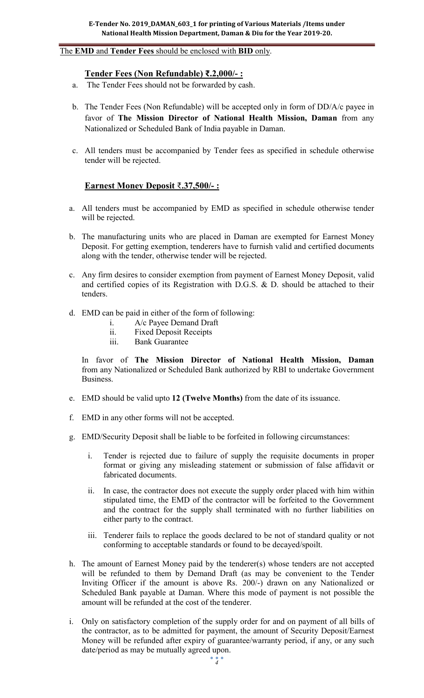#### The EMD and Tender Fees should be enclosed with BID only.

#### Tender Fees (Non Refundable) ₹.2,000/- :

- a. The Tender Fees should not be forwarded by cash.
- b. The Tender Fees (Non Refundable) will be accepted only in form of DD/A/c payee in favor of The Mission Director of National Health Mission, Daman from any Nationalized or Scheduled Bank of India payable in Daman.
- c. All tenders must be accompanied by Tender fees as specified in schedule otherwise tender will be rejected.

### Earnest Money Deposit ₹.37,500/- :

- a. All tenders must be accompanied by EMD as specified in schedule otherwise tender will be rejected.
- b. The manufacturing units who are placed in Daman are exempted for Earnest Money Deposit. For getting exemption, tenderers have to furnish valid and certified documents along with the tender, otherwise tender will be rejected.
- c. Any firm desires to consider exemption from payment of Earnest Money Deposit, valid and certified copies of its Registration with D.G.S. & D. should be attached to their tenders.
- d. EMD can be paid in either of the form of following:
	- i. A/c Payee Demand Draft
	- ii. Fixed Deposit Receipts
	- iii. Bank Guarantee

In favor of The Mission Director of National Health Mission, Daman from any Nationalized or Scheduled Bank authorized by RBI to undertake Government Business.

- e. EMD should be valid upto 12 (Twelve Months) from the date of its issuance.
- f. EMD in any other forms will not be accepted.
- g. EMD/Security Deposit shall be liable to be forfeited in following circumstances:
	- i. Tender is rejected due to failure of supply the requisite documents in proper format or giving any misleading statement or submission of false affidavit or fabricated documents.
	- ii. In case, the contractor does not execute the supply order placed with him within stipulated time, the EMD of the contractor will be forfeited to the Government and the contract for the supply shall terminated with no further liabilities on either party to the contract.
	- iii. Tenderer fails to replace the goods declared to be not of standard quality or not conforming to acceptable standards or found to be decayed/spoilt.
- h. The amount of Earnest Money paid by the tenderer(s) whose tenders are not accepted will be refunded to them by Demand Draft (as may be convenient to the Tender Inviting Officer if the amount is above Rs. 200/-) drawn on any Nationalized or Scheduled Bank payable at Daman. Where this mode of payment is not possible the amount will be refunded at the cost of the tenderer.
- i. Only on satisfactory completion of the supply order for and on payment of all bills of the contractor, as to be admitted for payment, the amount of Security Deposit/Earnest Money will be refunded after expiry of guarantee/warranty period, if any, or any such date/period as may be mutually agreed upon.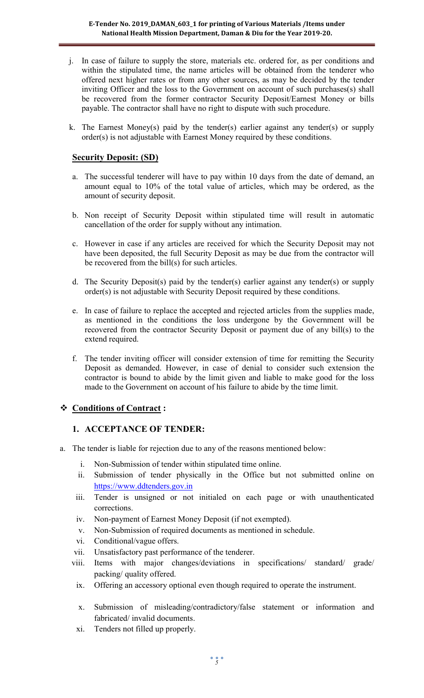- j. In case of failure to supply the store, materials etc. ordered for, as per conditions and within the stipulated time, the name articles will be obtained from the tenderer who offered next higher rates or from any other sources, as may be decided by the tender inviting Officer and the loss to the Government on account of such purchases(s) shall be recovered from the former contractor Security Deposit/Earnest Money or bills payable. The contractor shall have no right to dispute with such procedure.
- k. The Earnest Money(s) paid by the tender(s) earlier against any tender(s) or supply order(s) is not adjustable with Earnest Money required by these conditions.

### Security Deposit: (SD)

- a. The successful tenderer will have to pay within 10 days from the date of demand, an amount equal to 10% of the total value of articles, which may be ordered, as the amount of security deposit.
- b. Non receipt of Security Deposit within stipulated time will result in automatic cancellation of the order for supply without any intimation.
- c. However in case if any articles are received for which the Security Deposit may not have been deposited, the full Security Deposit as may be due from the contractor will be recovered from the bill(s) for such articles.
- d. The Security Deposit(s) paid by the tender(s) earlier against any tender(s) or supply order(s) is not adjustable with Security Deposit required by these conditions.
- e. In case of failure to replace the accepted and rejected articles from the supplies made, as mentioned in the conditions the loss undergone by the Government will be recovered from the contractor Security Deposit or payment due of any bill(s) to the extend required.
- f. The tender inviting officer will consider extension of time for remitting the Security Deposit as demanded. However, in case of denial to consider such extension the contractor is bound to abide by the limit given and liable to make good for the loss made to the Government on account of his failure to abide by the time limit.

#### Conditions of Contract :

#### 1. ACCEPTANCE OF TENDER:

- a. The tender is liable for rejection due to any of the reasons mentioned below:
	- i. Non-Submission of tender within stipulated time online.
	- ii. Submission of tender physically in the Office but not submitted online on https://www.ddtenders.gov.in
	- iii. Tender is unsigned or not initialed on each page or with unauthenticated corrections.
	- iv. Non-payment of Earnest Money Deposit (if not exempted).
	- v. Non-Submission of required documents as mentioned in schedule.
	- vi. Conditional/vague offers.
	- vii. Unsatisfactory past performance of the tenderer.
	- viii. Items with major changes/deviations in specifications/ standard/ grade/ packing/ quality offered.
	- ix. Offering an accessory optional even though required to operate the instrument.
	- x. Submission of misleading/contradictory/false statement or information and fabricated/ invalid documents.
	- xi. Tenders not filled up properly.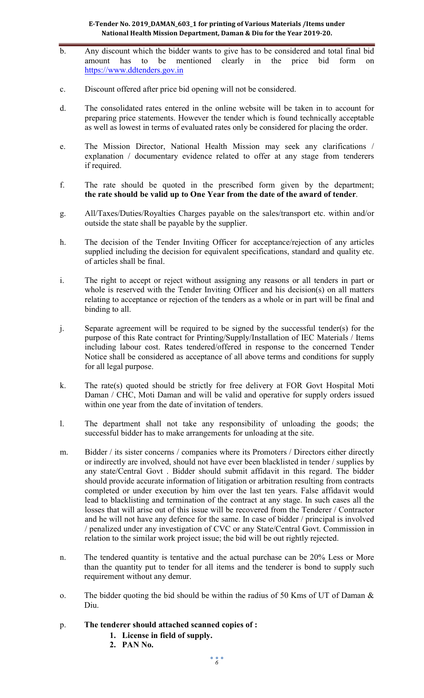- b. Any discount which the bidder wants to give has to be considered and total final bid amount has to be mentioned clearly in the price bid form on https://www.ddtenders.gov.in
- c. Discount offered after price bid opening will not be considered.
- d. The consolidated rates entered in the online website will be taken in to account for preparing price statements. However the tender which is found technically acceptable as well as lowest in terms of evaluated rates only be considered for placing the order.
- e. The Mission Director, National Health Mission may seek any clarifications / explanation / documentary evidence related to offer at any stage from tenderers if required.
- f. The rate should be quoted in the prescribed form given by the department; the rate should be valid up to One Year from the date of the award of tender.
- g. All/Taxes/Duties/Royalties Charges payable on the sales/transport etc. within and/or outside the state shall be payable by the supplier.
- h. The decision of the Tender Inviting Officer for acceptance/rejection of any articles supplied including the decision for equivalent specifications, standard and quality etc. of articles shall be final.
- i. The right to accept or reject without assigning any reasons or all tenders in part or whole is reserved with the Tender Inviting Officer and his decision(s) on all matters relating to acceptance or rejection of the tenders as a whole or in part will be final and binding to all.
- j. Separate agreement will be required to be signed by the successful tender(s) for the purpose of this Rate contract for Printing/Supply/Installation of IEC Materials / Items including labour cost. Rates tendered/offered in response to the concerned Tender Notice shall be considered as acceptance of all above terms and conditions for supply for all legal purpose.
- k. The rate(s) quoted should be strictly for free delivery at FOR Govt Hospital Moti Daman / CHC, Moti Daman and will be valid and operative for supply orders issued within one year from the date of invitation of tenders.
- l. The department shall not take any responsibility of unloading the goods; the successful bidder has to make arrangements for unloading at the site.
- m. Bidder / its sister concerns / companies where its Promoters / Directors either directly or indirectly are involved, should not have ever been blacklisted in tender / supplies by any state/Central Govt . Bidder should submit affidavit in this regard. The bidder should provide accurate information of litigation or arbitration resulting from contracts completed or under execution by him over the last ten years. False affidavit would lead to blacklisting and termination of the contract at any stage. In such cases all the losses that will arise out of this issue will be recovered from the Tenderer / Contractor and he will not have any defence for the same. In case of bidder / principal is involved / penalized under any investigation of CVC or any State/Central Govt. Commission in relation to the similar work project issue; the bid will be out rightly rejected.
- n. The tendered quantity is tentative and the actual purchase can be 20% Less or More than the quantity put to tender for all items and the tenderer is bond to supply such requirement without any demur.
- o. The bidder quoting the bid should be within the radius of 50 Kms of UT of Daman & Diu.

#### p. The tenderer should attached scanned copies of :

- 1. License in field of supply.
- 2. PAN No.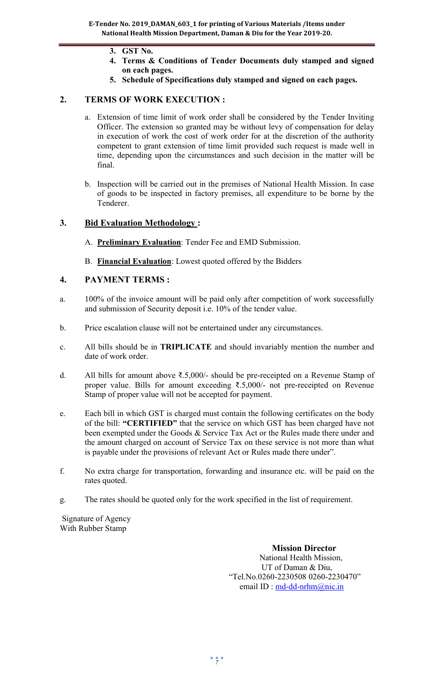- 3. GST No.
- 4. Terms & Conditions of Tender Documents duly stamped and signed on each pages.
- 5. Schedule of Specifications duly stamped and signed on each pages.

### 2. TERMS OF WORK EXECUTION :

- a. Extension of time limit of work order shall be considered by the Tender Inviting Officer. The extension so granted may be without levy of compensation for delay in execution of work the cost of work order for at the discretion of the authority competent to grant extension of time limit provided such request is made well in time, depending upon the circumstances and such decision in the matter will be final.
- b. Inspection will be carried out in the premises of National Health Mission. In case of goods to be inspected in factory premises, all expenditure to be borne by the Tenderer.

### 3. Bid Evaluation Methodology :

- A. Preliminary Evaluation: Tender Fee and EMD Submission.
- B. Financial Evaluation: Lowest quoted offered by the Bidders

#### 4. PAYMENT TERMS :

- a. 100% of the invoice amount will be paid only after competition of work successfully and submission of Security deposit i.e. 10% of the tender value.
- b. Price escalation clause will not be entertained under any circumstances.
- c. All bills should be in TRIPLICATE and should invariably mention the number and date of work order.
- d. All bills for amount above ₹.5,000/- should be pre-receipted on a Revenue Stamp of proper value. Bills for amount exceeding ₹.5,000/- not pre-receipted on Revenue Stamp of proper value will not be accepted for payment.
- e. Each bill in which GST is charged must contain the following certificates on the body of the bill: "CERTIFIED" that the service on which GST has been charged have not been exempted under the Goods & Service Tax Act or the Rules made there under and the amount charged on account of Service Tax on these service is not more than what is payable under the provisions of relevant Act or Rules made there under".
- f. No extra charge for transportation, forwarding and insurance etc. will be paid on the rates quoted.
- g. The rates should be quoted only for the work specified in the list of requirement.

 Signature of Agency With Rubber Stamp

> Mission Director National Health Mission, UT of Daman & Diu, "Tel.No.0260-2230508 0260-2230470" email ID : md-dd-nrhm@nic.in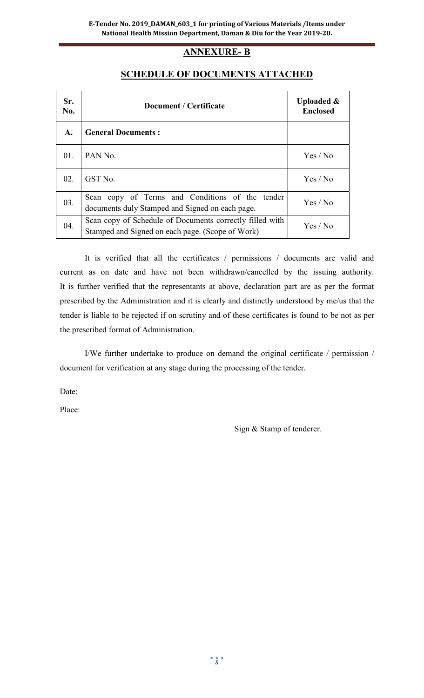## ANNEXURE- B

| Sr.<br>N <sub>0</sub> . | <b>Document / Certificate</b>                                                                                | <b>Uploaded &amp;</b><br><b>Enclosed</b> |
|-------------------------|--------------------------------------------------------------------------------------------------------------|------------------------------------------|
| A.                      | <b>General Documents:</b>                                                                                    |                                          |
| 01.                     | PAN <sub>No.</sub>                                                                                           | Yes / No                                 |
| 02.                     | GST No.                                                                                                      | Yes / No                                 |
| 03.                     | Scan copy of Terms and Conditions of the tender<br>documents duly Stamped and Signed on each page.           | Yes / No                                 |
| 04.                     | Scan copy of Schedule of Documents correctly filled with<br>Stamped and Signed on each page. (Scope of Work) | Yes / No                                 |

## SCHEDULE OF DOCUMENTS ATTACHED

It is verified that all the certificates / permissions / documents are valid and current as on date and have not been withdrawn/cancelled by the issuing authority. It is further verified that the representants at above, declaration part are as per the format prescribed by the Administration and it is clearly and distinctly understood by me/us that the tender is liable to be rejected if on scrutiny and of these certificates is found to be not as per the prescribed format of Administration.

I/We further undertake to produce on demand the original certificate / permission / document for verification at any stage during the processing of the tender.

Date:

Place:

Sign & Stamp of tenderer.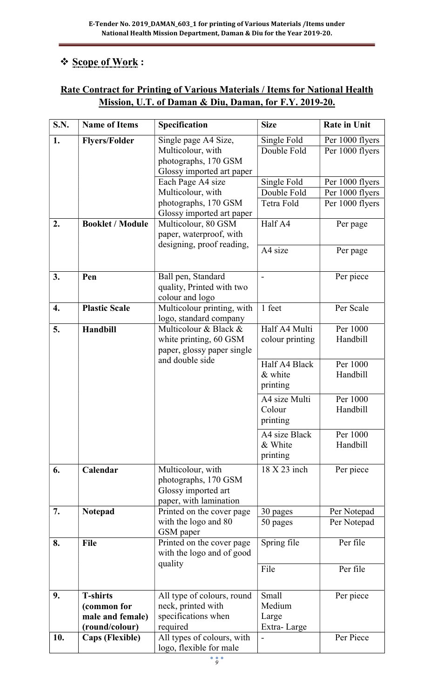# Scope of Work :

# Rate Contract for Printing of Various Materials / Items for National Health Mission, U.T. of Daman & Diu, Daman, for F.Y. 2019-20.

| S.N. | <b>Name of Items</b>    | Specification                                        | <b>Size</b>     | <b>Rate in Unit</b> |
|------|-------------------------|------------------------------------------------------|-----------------|---------------------|
| 1.   | <b>Flyers/Folder</b>    | Single page A4 Size,                                 | Single Fold     | Per 1000 flyers     |
|      |                         | Multicolour, with                                    | Double Fold     | Per 1000 flyers     |
|      |                         | photographs, 170 GSM                                 |                 |                     |
|      |                         | Glossy imported art paper                            |                 |                     |
|      |                         | Each Page A4 size                                    | Single Fold     | Per 1000 flyers     |
|      |                         | Multicolour, with                                    | Double Fold     | Per 1000 flyers     |
|      |                         | photographs, 170 GSM                                 | Tetra Fold      | Per 1000 flyers     |
|      |                         | Glossy imported art paper                            |                 |                     |
| 2.   | <b>Booklet / Module</b> | Multicolour, 80 GSM                                  | Half A4         | Per page            |
|      |                         | paper, waterproof, with<br>designing, proof reading, |                 |                     |
|      |                         |                                                      | A4 size         | Per page            |
|      |                         |                                                      |                 |                     |
| 3.   | Pen                     | Ball pen, Standard                                   |                 | Per piece           |
|      |                         | quality, Printed with two                            |                 |                     |
|      |                         | colour and logo                                      |                 |                     |
| 4.   | <b>Plastic Scale</b>    | Multicolour printing, with                           | 1 feet          | Per Scale           |
|      |                         | logo, standard company                               |                 |                     |
| 5.   | Handbill                | Multicolour & Black &                                | Half A4 Multi   | Per 1000            |
|      |                         | white printing, 60 GSM                               | colour printing | Handbill            |
|      |                         | paper, glossy paper single                           |                 |                     |
|      |                         | and double side                                      | Half A4 Black   | Per 1000            |
|      |                         |                                                      | & white         | Handbill            |
|      |                         |                                                      | printing        |                     |
|      |                         |                                                      | A4 size Multi   | Per 1000            |
|      |                         |                                                      | Colour          | Handbill            |
|      |                         |                                                      | printing        |                     |
|      |                         |                                                      | A4 size Black   | Per 1000            |
|      |                         |                                                      | & White         | Handbill            |
|      |                         |                                                      | printing        |                     |
| 6.   | Calendar                | Multicolour, with                                    | 18 X 23 inch    | Per piece           |
|      |                         | photographs, 170 GSM                                 |                 |                     |
|      |                         | Glossy imported art                                  |                 |                     |
|      |                         | paper, with lamination                               |                 |                     |
| 7.   | Notepad                 | Printed on the cover page                            | 30 pages        | Per Notepad         |
|      |                         | with the logo and 80                                 | 50 pages        | Per Notepad         |
|      |                         | GSM paper                                            |                 |                     |
| 8.   | File                    | Printed on the cover page                            | Spring file     | Per file            |
|      |                         | with the logo and of good                            |                 |                     |
|      |                         | quality                                              | File            | Per file            |
|      |                         |                                                      |                 |                     |
| 9.   | <b>T-shirts</b>         | All type of colours, round                           | Small           | Per piece           |
|      | (common for             | neck, printed with                                   | Medium          |                     |
|      | male and female)        | specifications when                                  | Large           |                     |
|      | (round/colour)          | required                                             | Extra-Large     |                     |
| 10.  | <b>Caps (Flexible)</b>  | All types of colours, with                           |                 | Per Piece           |
|      |                         | logo, flexible for male                              |                 |                     |